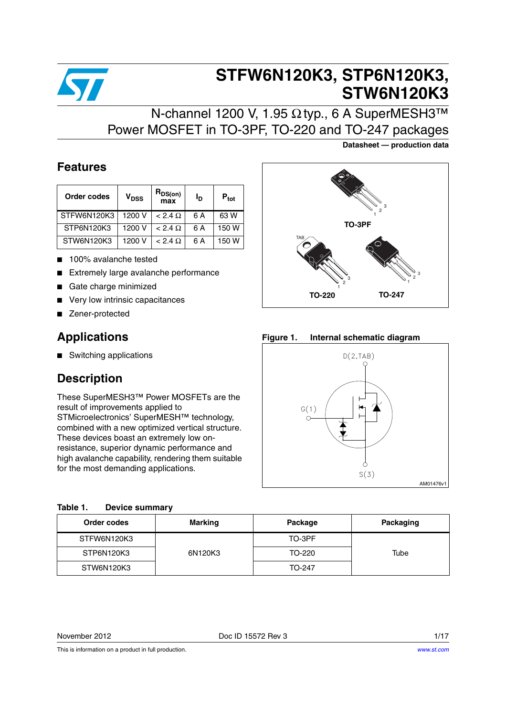

# **STFW6N120K3, STP6N120K3, STW6N120K3**

## N-channel 1200 V, 1.95 Ω typ., 6 A SuperMESH3™ Power MOSFET in TO-3PF, TO-220 and TO-247 packages

### **Datasheet — production data**

### **Features**

| Order codes | V <sub>DSS</sub> | R <sub>DS(on)</sub><br>max |     | $P_{\text{tot}}$ |
|-------------|------------------|----------------------------|-----|------------------|
| STFW6N120K3 | 1200 V           | $< 2.4 \Omega$             | 6 A | 63 W             |
| STP6N120K3  | 1200 V           | $< 2.4 \Omega$             | 6 A | 150 W            |
| STW6N120K3  | 1200 V           | $< 2.4 \Omega$             | 6 A | 150 W            |

- 100% avalanche tested
- Extremely large avalanche performance
- Gate charge minimized
- Very low intrinsic capacitances
- Zener-protected

### **Applications**

■ Switching applications

### **Description**

These SuperMESH3™ Power MOSFETs are the result of improvements applied to STMicroelectronics' SuperMESH™ technology, combined with a new optimized vertical structure. These devices boast an extremely low onresistance, superior dynamic performance and high avalanche capability, rendering them suitable for the most demanding applications.

| $\bullet$<br>۰                    | 3<br>$\overline{c}$<br>TO-3PF |
|-----------------------------------|-------------------------------|
|                                   |                               |
| <b>TAB</b><br>3<br>$\overline{2}$ | 3<br>$\overline{c}$           |
| <b>TO-220</b>                     | TO-247                        |

**Figure 1. Internal schematic diagram**



| Order codes | <b>Marking</b> | Package | Packaging |
|-------------|----------------|---------|-----------|
| STFW6N120K3 |                | TO-3PF  |           |
| STP6N120K3  | 6N120K3        | TO-220  | Tube      |
| STW6N120K3  |                | TO-247  |           |

November 2012 **Doce ID 15572 Rev 3** 1/17

This is information on a product in full production.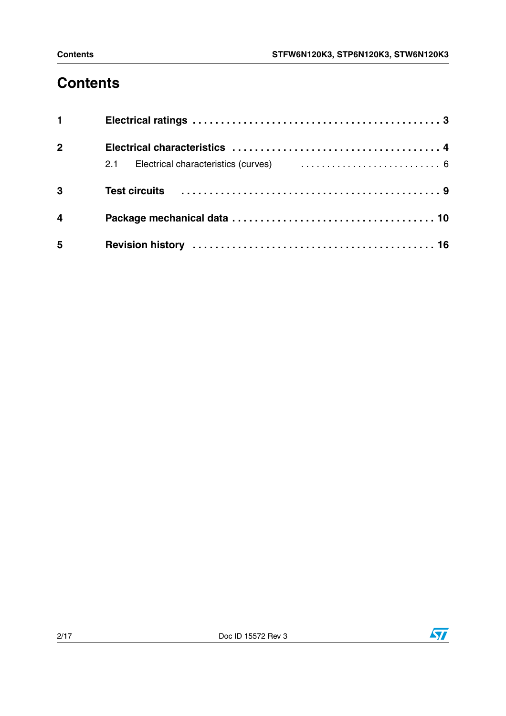# **Contents**

| $1 \quad \blacksquare$  |  |
|-------------------------|--|
| 2 <sup>1</sup>          |  |
|                         |  |
| 3                       |  |
| $\overline{\mathbf{4}}$ |  |
| 5                       |  |

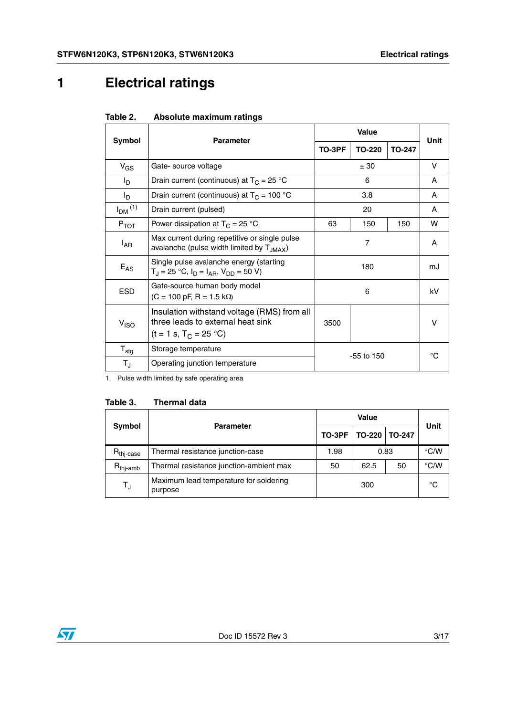# <span id="page-2-0"></span>**1 Electrical ratings**

| Taple 2.                  | Absolute maximum ratings                                                                                     |              |        |               |              |  |
|---------------------------|--------------------------------------------------------------------------------------------------------------|--------------|--------|---------------|--------------|--|
|                           |                                                                                                              |              |        |               |              |  |
| Symbol                    | <b>Parameter</b>                                                                                             | TO-3PF       | TO-220 | <b>TO-247</b> | Unit         |  |
| $V_{GS}$                  | Gate- source voltage                                                                                         |              | ± 30   |               |              |  |
| I <sub>D</sub>            | Drain current (continuous) at $T_c = 25$ °C                                                                  |              | 6      |               | A            |  |
| l <sub>D</sub>            | Drain current (continuous) at $T_C = 100 °C$                                                                 |              | 3.8    |               | A            |  |
| $I_{DM}$ <sup>(1)</sup>   | Drain current (pulsed)                                                                                       | 20           |        |               | A            |  |
| $P_{TOT}$                 | Power dissipation at $T_c = 25 °C$                                                                           | 63           | 150    | 150           | w            |  |
| l <sub>AR</sub>           | Max current during repetitive or single pulse<br>avalanche (pulse width limited by TJMAX)                    | 7            |        |               | A            |  |
| $E_{AS}$                  | Single pulse avalanche energy (starting<br>$T_J = 25$ °C, $I_D = I_{AB}$ , $V_{DD} = 50$ V)                  | 180          |        |               | mJ           |  |
| <b>ESD</b>                | Gate-source human body model<br>$(C = 100 \text{ pF}, R = 1.5 \text{ k}\Omega)$                              | 6            |        |               | kV           |  |
| V <sub>ISO</sub>          | Insulation withstand voltage (RMS) from all<br>three leads to external heat sink<br>$(t = 1 s, T_C = 25 °C)$ | 3500         |        | $\vee$        |              |  |
| $\mathsf{T}_{\text{stg}}$ | Storage temperature                                                                                          |              |        |               | $^{\circ}$ C |  |
| $T_{\rm J}$               | Operating junction temperature                                                                               | $-55$ to 150 |        |               |              |  |

#### $Table 2$ **Table 2. Absolute maximum ratings**

1. Pulse width limited by safe operating area

| Table 3.<br><b>Thermal data</b> |  |
|---------------------------------|--|
|---------------------------------|--|

| <b>Symbol</b>         | <b>Parameter</b>                                  |        | Unit          |               |               |
|-----------------------|---------------------------------------------------|--------|---------------|---------------|---------------|
|                       |                                                   | TO-3PF | <b>TO-220</b> | <b>TO-247</b> |               |
| $R_{\text{thi-case}}$ | Thermal resistance junction-case                  | 1.98   | 0.83          |               | $\degree$ C/W |
| $R_{\text{thi-amb}}$  | Thermal resistance junction-ambient max           | 50     | 62.5<br>50    |               | $\degree$ C/W |
| $T_{\text{J}}$        | Maximum lead temperature for soldering<br>purpose | 300    |               | °C            |               |

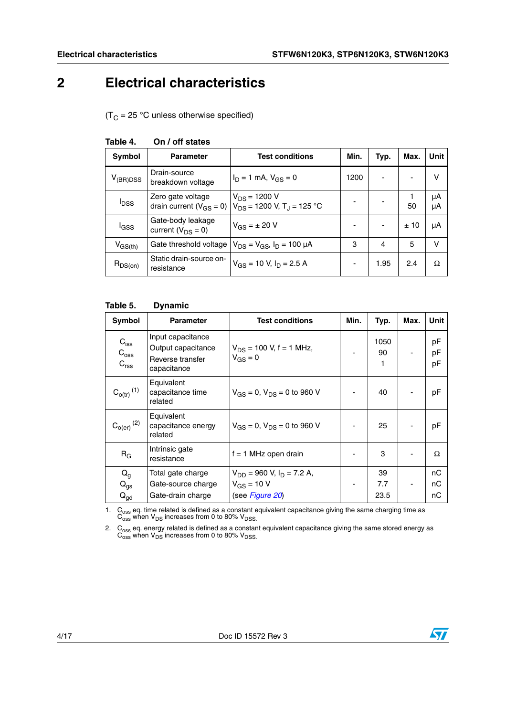## <span id="page-3-0"></span>**2 Electrical characteristics**

 $(T_C = 25 \degree C$  unless otherwise specified)

| Symbol                  | <b>Parameter</b>                                    | <b>Test conditions</b>                                          | Min. | Typ.           | Max. | <b>Unit</b> |
|-------------------------|-----------------------------------------------------|-----------------------------------------------------------------|------|----------------|------|-------------|
| $V_{(BR)DSS}$           | Drain-source<br>breakdown voltage                   | $I_D = 1$ mA, $V_{GS} = 0$                                      | 1200 | $\blacksquare$ |      | v           |
| <b>I</b> <sub>DSS</sub> | Zero gate voltage<br>drain current ( $V_{GS} = 0$ ) | $V_{DS}$ = 1200 V<br>$V_{DS}$ = 1200 V, T <sub>J</sub> = 125 °C |      |                | 50   | μA<br>μA    |
| l <sub>GSS</sub>        | Gate-body leakage<br>current $(V_{DS} = 0)$         | $V_{GS} = \pm 20 V$                                             |      | $\blacksquare$ | ±10  | μA          |
| $V_{GS(th)}$            | Gate threshold voltage                              | $V_{DS} = V_{GS}$ , $I_D = 100 \mu A$                           | 3    | 4              | 5    | $\vee$      |
| $R_{DS(on)}$            | Static drain-source on-<br>resistance               | $V_{GS}$ = 10 V, $I_D$ = 2.5 A                                  |      | 1.95           | 2.4  | Ω           |

#### **Table 4. On / off states**

#### **Table 5. Dynamic**

| Symbol                                                     | <b>Parameter</b>                                                           | <b>Test conditions</b>                       | Min. | Typ.            | Max. | <b>Unit</b>    |
|------------------------------------------------------------|----------------------------------------------------------------------------|----------------------------------------------|------|-----------------|------|----------------|
| $C_{\text{iss}}$<br>$\mathrm{C_{oss}}$<br>C <sub>rss</sub> | Input capacitance<br>Output capacitance<br>Reverse transfer<br>capacitance | $V_{DS}$ = 100 V, f = 1 MHz,<br>$V_{GS} = 0$ |      | 1050<br>90<br>1 |      | pF<br>рF<br>pF |
| $C_{o(tr)}$ <sup>(1)</sup>                                 | Equivalent<br>capacitance time<br>related                                  | $V_{GS} = 0$ , $V_{DS} = 0$ to 960 V         |      | 40              |      | pF             |
| $C_{O(er)}$ $^{(2)}$                                       | Equivalent<br>capacitance energy<br>related                                | $V_{GS} = 0$ , $V_{DS} = 0$ to 960 V         |      | 25              |      | pF             |
| $R_G$                                                      | Intrinsic gate<br>resistance                                               | $f = 1$ MHz open drain                       |      | 3               |      | Ω              |
| $Q_g$                                                      | Total gate charge                                                          | $V_{DD}$ = 960 V, $I_D$ = 7.2 A,             |      | 39              |      | nС             |
| $Q_{gs}$                                                   | Gate-source charge                                                         | $V_{GS}$ = 10 V                              |      | 7.7             |      | nС             |
| $Q_{\text{gd}}$                                            | Gate-drain charge                                                          | (see Figure 20)                              |      | 23.5            |      | nС             |

1.  $\text{C}_{\text{oss}}$  eq. time related is defined as a constant equivalent capacitance giving the same charging time as  $\text{C}_{\text{oss}}$  when  $\text{V}_{\text{DS}}$  increases from 0 to 80%  $\text{V}_{\text{DSS}}$ .

2. C<sub>oss</sub> eq. energy related is defined as a constant equivalent capacitance giving the same stored energy as  $\overline{C_{\rm oss}}$  when  $\overline{V_{\rm DS}}$  increases from 0 to 80%  $\overline{V_{\rm DSS}}$ .

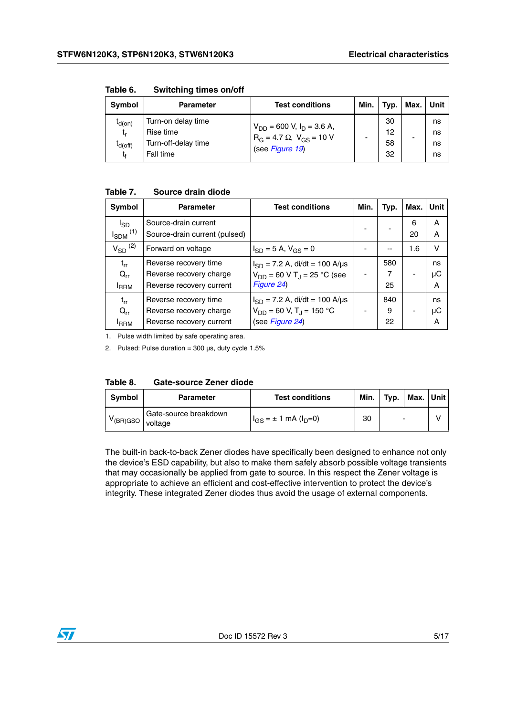| Symbol                                  | Parameter                                                           | <b>Test conditions</b>                                                                      | Min. | Typ.                 | Max. | Unit                 |
|-----------------------------------------|---------------------------------------------------------------------|---------------------------------------------------------------------------------------------|------|----------------------|------|----------------------|
| $I_{d(0n)}$<br>t,<br>$I_{d(off)}$<br>tғ | Turn-on delay time<br>Rise time<br>Turn-off-delay time<br>Fall time | $V_{DD}$ = 600 V, $I_D$ = 3.6 A,<br>$R_G = 4.7 \Omega$ , $V_{GS} = 10 V$<br>(see Figure 19) |      | 30<br>12<br>58<br>32 |      | ns<br>ns<br>ns<br>ns |

**Table 6. Switching times on/off**

#### **Table 7. Source drain diode**

| Symbol                   | <b>Parameter</b>              | <b>Test conditions</b>                      | Min. | Typ. | Max. | Unit |
|--------------------------|-------------------------------|---------------------------------------------|------|------|------|------|
| $I_{SD}$                 | Source-drain current          |                                             |      |      | 6    | A    |
| $I_{SDM}$ <sup>(1)</sup> | Source-drain current (pulsed) |                                             |      |      | 20   | A    |
| $V_{SD}$ <sup>(2)</sup>  | Forward on voltage            | $I_{SD} = 5 A$ , $V_{GS} = 0$               |      |      | 1.6  | v    |
| $t_{rr}$                 | Reverse recovery time         | $I_{SD}$ = 7.2 A, di/dt = 100 A/µs          |      | 580  |      | ns   |
| $Q_{rr}$                 | Reverse recovery charge       | $V_{DD}$ = 60 V T <sub>J</sub> = 25 °C (see |      | 7    |      | μC   |
| <sup>I</sup> RRM         | Reverse recovery current      | Figure 24)                                  |      | 25   |      | Α    |
| $t_{rr}$                 | Reverse recovery time         | $I_{SD}$ = 7.2 A, di/dt = 100 A/µs          |      | 840  |      | ns   |
| $Q_{rr}$                 | Reverse recovery charge       | $V_{DD}$ = 60 V, T <sub>J</sub> = 150 °C    |      | 9    |      | μC   |
| <b>IRRM</b>              | Reverse recovery current      | (see Figure 24)                             |      | 22   |      | Α    |

1. Pulse width limited by safe operating area.

2. Pulsed: Pulse duration =  $300 \,\mu s$ , duty cycle  $1.5\%$ 

| Table 8. | <b>Gate-source Zener diode</b> |  |
|----------|--------------------------------|--|
|          |                                |  |

| <b>Symbol</b> | <b>Parameter</b>                 | <b>Test conditions</b>              | Min. | Typ. | Max. | <b>∪nit</b> |
|---------------|----------------------------------|-------------------------------------|------|------|------|-------------|
| $V$ (BR)GSO   | Gate-source breakdown<br>voltage | $I_{GS} = \pm 1$ mA ( $I_{D} = 0$ ) | 30   |      | -    |             |

The built-in back-to-back Zener diodes have specifically been designed to enhance not only the device's ESD capability, but also to make them safely absorb possible voltage transients that may occasionally be applied from gate to source. In this respect the Zener voltage is appropriate to achieve an efficient and cost-effective intervention to protect the device's integrity. These integrated Zener diodes thus avoid the usage of external components.

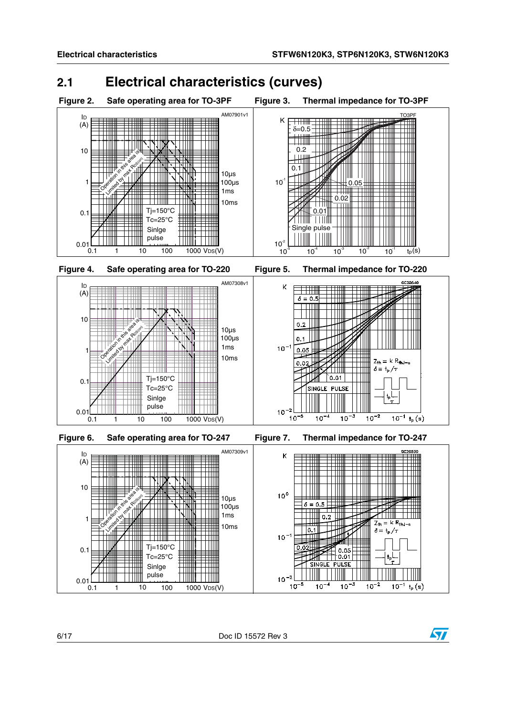## <span id="page-5-0"></span>**2.1 Electrical characteristics (curves)**



 $10^{-5}$ 

 $10^{-4}$ 

 $\frac{1}{10^{-3}}$ 

 $\frac{1}{10^{-2}}$ 

 $10^{-1}$  $t_{\sf p}({\sf s})$ 



0.1 1 10 100 1000 VDS(V)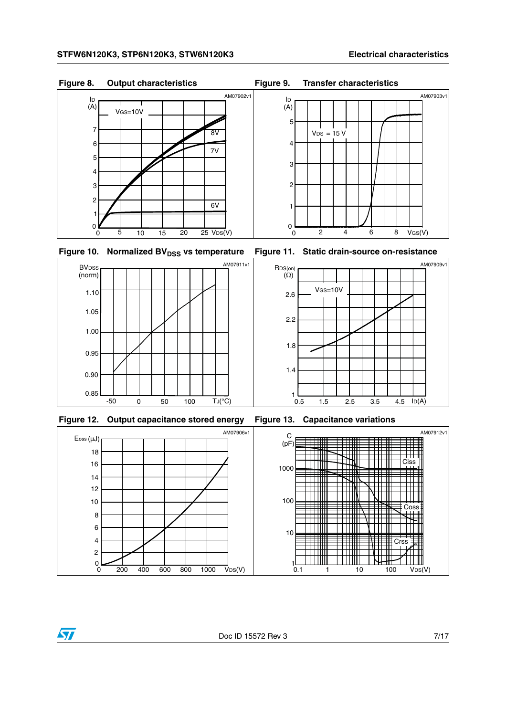





**Figure 12. Output capacitance stored energy Figure 13. Capacitance variations**

 $\overline{\mathbf{S}}$ 

<span id="page-6-0"></span>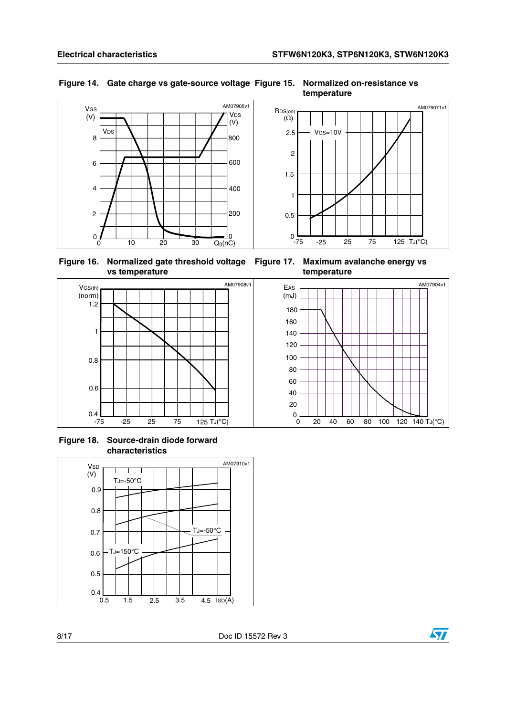

### <span id="page-7-0"></span>**Figure 14. Gate charge vs gate-source voltage Figure 15. Normalized on-resistance vs**

**temperature**



0 20 40 60 80 100 120 140 TJ(°C)

20 40 60 80 100

**temperature** 

 $(mJ)$ 

**Figure 16. Normalized gate threshold voltage Figure 17. Maximum avalanche energy vs vs temperature**



**Figure 18. Source-drain diode forward characteristics**



ST

AM07904v1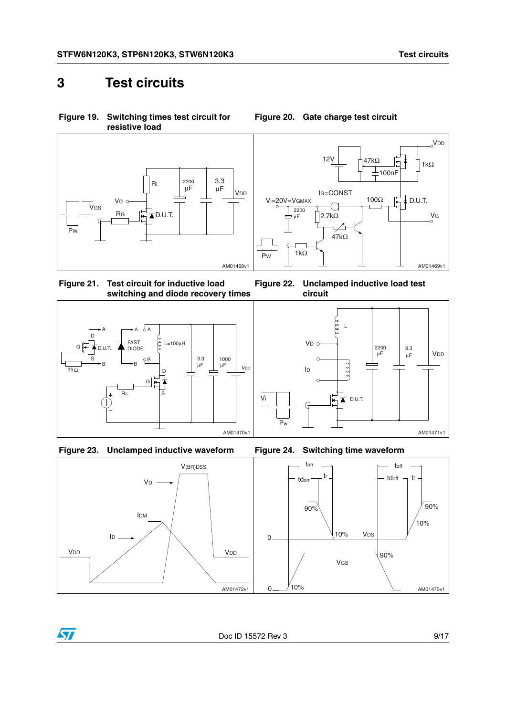VDD

## <span id="page-8-0"></span>**3 Test circuits**

<span id="page-8-2"></span>**Figure 19. Switching times test circuit for resistive load**





**Figure 22. Unclamped inductive load test** 

L

see

1

D.U.T.

2200 μF

3.3

 $μF$  VDD

**circuit**

V<sub>D</sub> o

 $\Omega$ 

ID

**Figure 21. Test circuit for inductive load switching and diode recovery times**







<span id="page-8-3"></span>Pw



Doc ID 15572 Rev 3 9/17

AM01471v1

<span id="page-8-1"></span>**Figure 20. Gate charge test circuit**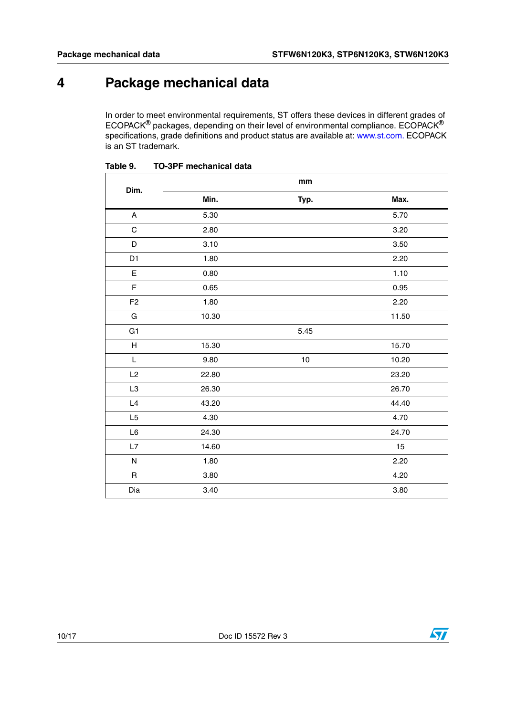## <span id="page-9-0"></span>**4 Package mechanical data**

In order to meet environmental requirements, ST offers these devices in different grades of ECOPACK® packages, depending on their level of environmental compliance. ECOPACK® specifications, grade definitions and product status are available at: www.st.com. ECOPACK is an ST trademark.

| Dim.           | mm    |      |       |  |
|----------------|-------|------|-------|--|
|                | Min.  | Typ. | Max.  |  |
| A              | 5.30  |      | 5.70  |  |
| $\mathsf C$    | 2.80  |      | 3.20  |  |
| D              | 3.10  |      | 3.50  |  |
| D <sub>1</sub> | 1.80  |      | 2.20  |  |
| $\mathsf E$    | 0.80  |      | 1.10  |  |
| F              | 0.65  |      | 0.95  |  |
| F <sub>2</sub> | 1.80  |      | 2.20  |  |
| G              | 10.30 |      | 11.50 |  |
| G <sub>1</sub> |       | 5.45 |       |  |
| H              | 15.30 |      | 15.70 |  |
| $\mathsf L$    | 9.80  | $10$ | 10.20 |  |
| L2             | 22.80 |      | 23.20 |  |
| L <sub>3</sub> | 26.30 |      | 26.70 |  |
| L4             | 43.20 |      | 44.40 |  |
| L <sub>5</sub> | 4.30  |      | 4.70  |  |
| L6             | 24.30 |      | 24.70 |  |
| L7             | 14.60 |      | 15    |  |
| ${\sf N}$      | 1.80  |      | 2.20  |  |
| $\mathsf{R}$   | 3.80  |      | 4.20  |  |
| Dia            | 3.40  |      | 3.80  |  |

Table 9. **TO-3PF mechanical data** 

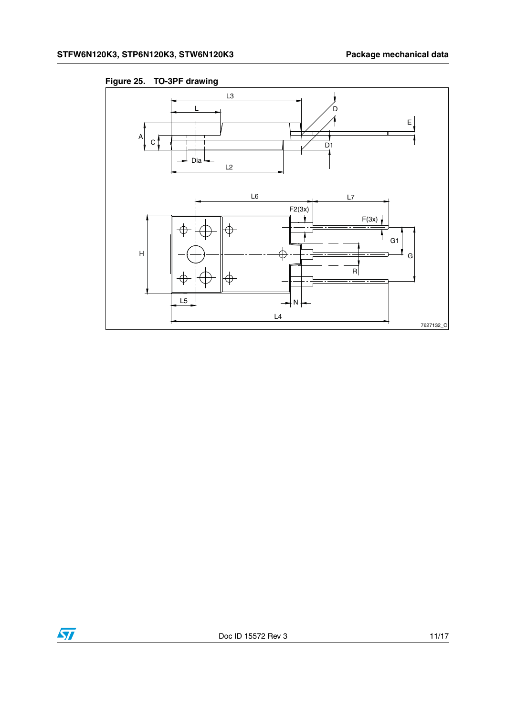

**Figure 25. TO-3PF drawing** 

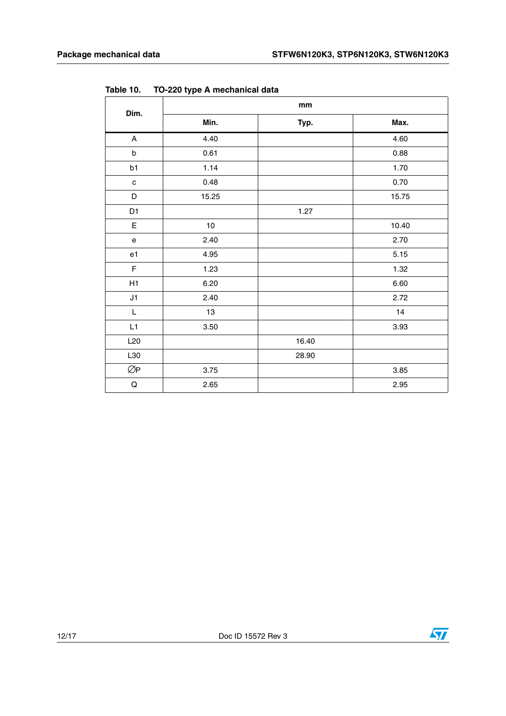| Dim.                                       | mm    |       |       |  |
|--------------------------------------------|-------|-------|-------|--|
|                                            | Min.  | Typ.  | Max.  |  |
| $\mathsf{A}$                               | 4.40  |       | 4.60  |  |
| $\sf b$                                    | 0.61  |       | 0.88  |  |
| b1                                         | 1.14  |       | 1.70  |  |
| $\mathbf c$                                | 0.48  |       | 0.70  |  |
| D                                          | 15.25 |       | 15.75 |  |
| D <sub>1</sub>                             |       | 1.27  |       |  |
| $\mathsf E$                                | 10    |       | 10.40 |  |
| $\mathsf{e}% _{0}\left( \mathsf{e}\right)$ | 2.40  |       | 2.70  |  |
| e1                                         | 4.95  |       | 5.15  |  |
| F                                          | 1.23  |       | 1.32  |  |
| H1                                         | 6.20  |       | 6.60  |  |
| J1                                         | 2.40  |       | 2.72  |  |
| L                                          | 13    |       | 14    |  |
| L1                                         | 3.50  |       | 3.93  |  |
| L20                                        |       | 16.40 |       |  |
| L30                                        |       | 28.90 |       |  |
| ØP                                         | 3.75  |       | 3.85  |  |
| $\mathsf Q$                                | 2.65  |       | 2.95  |  |

**Table 10. TO-220 type A mechanical data**

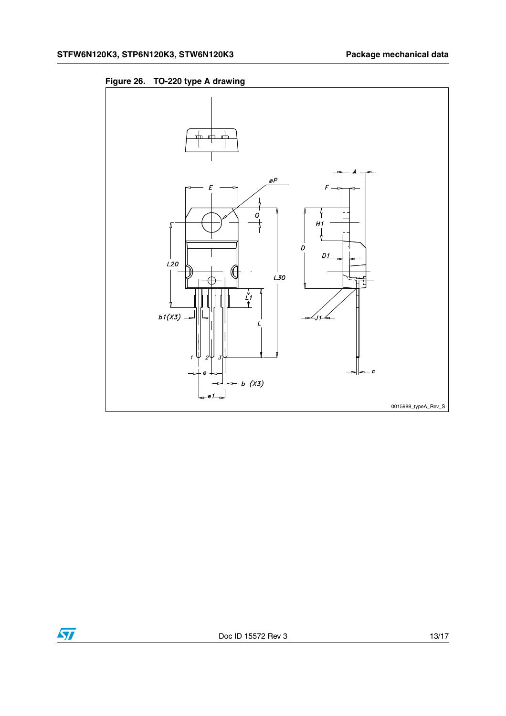



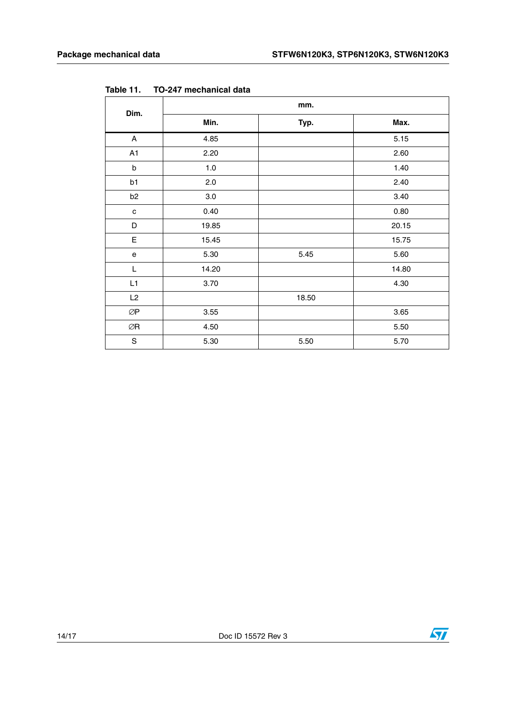| Dim.                                 | mm.     |       |       |  |
|--------------------------------------|---------|-------|-------|--|
|                                      | Min.    | Typ.  | Max.  |  |
| $\boldsymbol{\mathsf{A}}$            | 4.85    |       | 5.15  |  |
| A1                                   | 2.20    |       | 2.60  |  |
| $\sf b$                              | 1.0     |       | 1.40  |  |
| b1                                   | 2.0     |       | 2.40  |  |
| b <sub>2</sub>                       | $3.0\,$ |       | 3.40  |  |
| $\mathbf{C}$                         | 0.40    |       | 0.80  |  |
| D                                    | 19.85   |       | 20.15 |  |
| E                                    | 15.45   |       | 15.75 |  |
| ${\bf e}$                            | 5.30    | 5.45  | 5.60  |  |
| L                                    | 14.20   |       | 14.80 |  |
| L1                                   | 3.70    |       | 4.30  |  |
| L2                                   |         | 18.50 |       |  |
| $\oslash\!\operatorname{\mathsf{P}}$ | 3.55    |       | 3.65  |  |
| ØR                                   | 4.50    |       | 5.50  |  |
| $\mathbf S$                          | 5.30    | 5.50  | 5.70  |  |

**Table 11. TO-247 mechanical data**



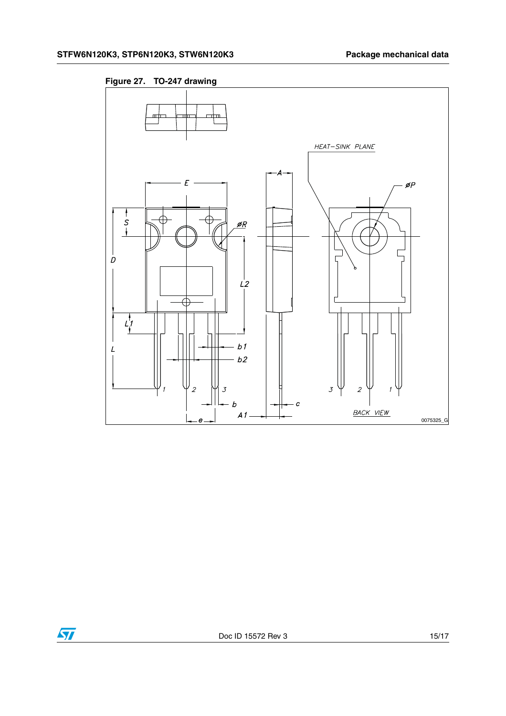

**Figure 27. TO-247 drawing**

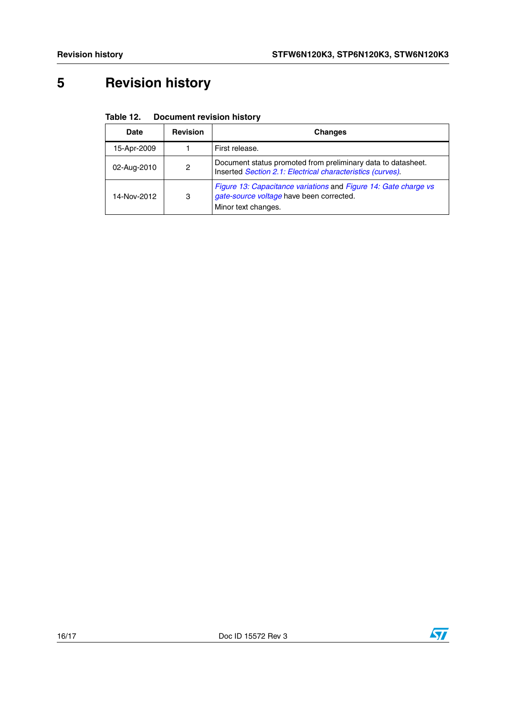# <span id="page-15-0"></span>**5 Revision history**

| Table 12. | <b>Document revision history</b> |
|-----------|----------------------------------|
|-----------|----------------------------------|

| Date        | <b>Revision</b> | <b>Changes</b>                                                                                                                     |
|-------------|-----------------|------------------------------------------------------------------------------------------------------------------------------------|
| 15-Apr-2009 |                 | First release.                                                                                                                     |
| 02-Aug-2010 | 2               | Document status promoted from preliminary data to datasheet.<br>Inserted Section 2.1: Electrical characteristics (curves).         |
| 14-Nov-2012 | 3               | Figure 13: Capacitance variations and Figure 14: Gate charge vs<br>gate-source voltage have been corrected.<br>Minor text changes. |